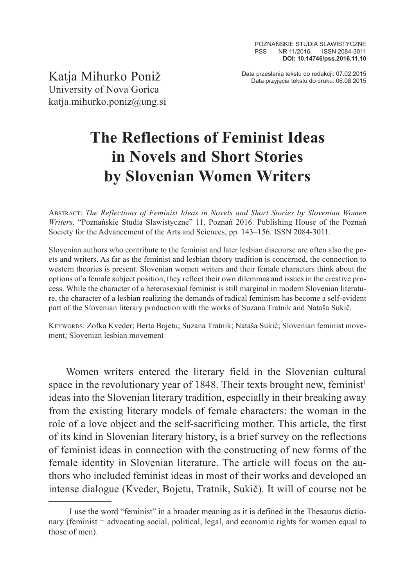Data przesłania tekstu do redakcji: 07.02.2015 Katja Mihurko Poniž Data przyjęcia tekstu do druku: 06.08.2015

University of Nova Gorica katja.mihurko.poniz@ung.si

## **The Reflections of Feminist Ideas in Novels and Short Stories by Slovenian Women Writers**

Abstract: *The Reflections of Feminist Ideas in Novels and Short Stories by Slovenian Women Writers*. "Poznańskie Studia Slawistyczne" 11. Poznań 2016. Publishing House of the Poznań Society for the Advancement of the Arts and Sciences, pp. 143–156. ISSN 2084-3011.

Slovenian authors who contribute to the feminist and later lesbian discourse are often also the poets and writers. As far as the feminist and lesbian theory tradition is concerned, the connection to western theories is present. Slovenian women writers and their female characters think about the options of a female subject position, they reflect their own dilemmas and issues in the creative process. While the character of a heterosexual feminist is still marginal in modern Slovenian literature, the character of a lesbian realizing the demands of radical feminism has become a self-evident part of the Slovenian literary production with the works of Suzana Tratnik and Nataša Sukič.

Keywords: Zofka Kveder; Berta Bojetu; Suzana Tratnik; Nataša Sukič; Slovenian feminist movement; Slovenian lesbian movement

Women writers entered the literary field in the Slovenian cultural space in the revolutionary year of 1848. Their texts brought new, feminist<sup>1</sup> ideas into the Slovenian literary tradition, especially in their breaking away from the existing literary models of female characters: the woman in the role of a love object and the self-sacrificing mother. This article, the first of its kind in Slovenian literary history, is a brief survey on the reflections of feminist ideas in connection with the constructing of new forms of the female identity in Slovenian literature. The article will focus on the authors who included feminist ideas in most of their works and developed an intense dialogue (Kveder, Bojetu, Tratnik, Sukič). It will of course not be

<sup>&</sup>lt;sup>1</sup>I use the word "feminist" in a broader meaning as it is defined in the Thesaurus dictionary (feminist = advocating social, political, legal, and economic rights for women equal to those of men).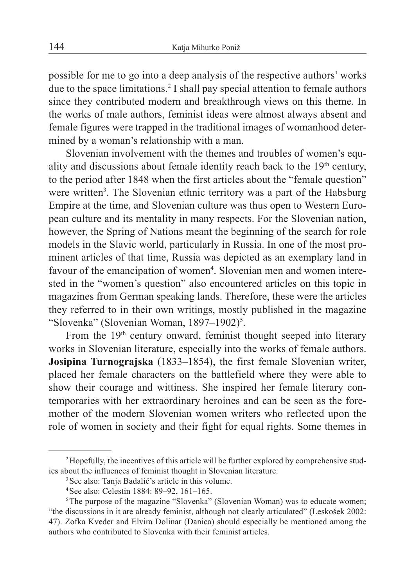possible for me to go into a deep analysis of the respective authors' works due to the space limitations.2 I shall pay special attention to female authors since they contributed modern and breakthrough views on this theme. In the works of male authors, feminist ideas were almost always absent and female figures were trapped in the traditional images of womanhood determined by a woman's relationship with a man.

Slovenian involvement with the themes and troubles of women's equality and discussions about female identity reach back to the 19th century, to the period after 1848 when the first articles about the "female question" were written<sup>3</sup>. The Slovenian ethnic territory was a part of the Habsburg Empire at the time, and Slovenian culture was thus open to Western European culture and its mentality in many respects. For the Slovenian nation, however, the Spring of Nations meant the beginning of the search for role models in the Slavic world, particularly in Russia. In one of the most prominent articles of that time, Russia was depicted as an exemplary land in favour of the emancipation of women<sup>4</sup>. Slovenian men and women interested in the "women's question" also encountered articles on this topic in magazines from German speaking lands. Therefore, these were the articles they referred to in their own writings, mostly published in the magazine "Slovenka" (Slovenian Woman,  $1897-1902$ )<sup>5</sup>.

From the  $19<sup>th</sup>$  century onward, feminist thought seeped into literary works in Slovenian literature, especially into the works of female authors. **Josipina Turnograjska** (1833–1854), the first female Slovenian writer, placed her female characters on the battlefield where they were able to show their courage and wittiness. She inspired her female literary contemporaries with her extraordinary heroines and can be seen as the foremother of the modern Slovenian women writers who reflected upon the role of women in society and their fight for equal rights. Some themes in

<sup>2</sup>Hopefully, the incentives of this article will be further explored by comprehensive studies about the influences of feminist thought in Slovenian literature.

<sup>&</sup>lt;sup>3</sup> See also: Tanja Badalič's article in this volume.

<sup>4</sup>See also: Celestin 1884: 89–92, 161–165.

<sup>&</sup>lt;sup>5</sup>The purpose of the magazine "Slovenka" (Slovenian Woman) was to educate women; "the discussions in it are already feminist, although not clearly articulated" (Leskošek 2002: 47). Zofka Kveder and Elvira Dolinar (Danica) should especially be mentioned among the authors who contributed to Slovenka with their feminist articles.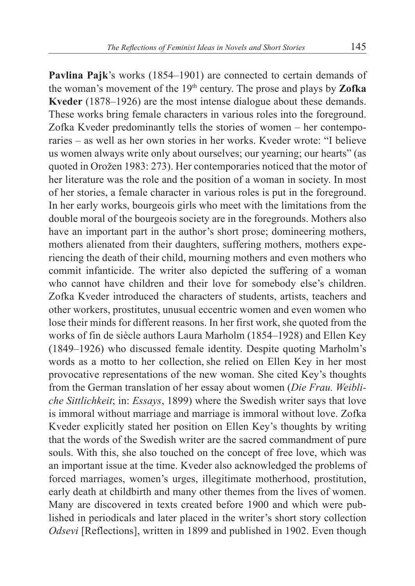**Pavlina Pajk**'s works (1854–1901) are connected to certain demands of the woman's movement of the 19th century. The prose and plays by **Zofka Kveder** (1878–1926) are the most intense dialogue about these demands. These works bring female characters in various roles into the foreground. Zofka Kveder predominantly tells the stories of women – her contemporaries – as well as her own stories in her works. Kveder wrote: "I believe us women always write only about ourselves; our yearning; our hearts" (as quoted in Orožen 1983: 273). Her contemporaries noticed that the motor of her literature was the role and the position of a woman in society. In most of her stories, a female character in various roles is put in the foreground. In her early works, bourgeois girls who meet with the limitations from the double moral of the bourgeois society are in the foregrounds. Mothers also have an important part in the author's short prose; domineering mothers, mothers alienated from their daughters, suffering mothers, mothers experiencing the death of their child, mourning mothers and even mothers who commit infanticide. The writer also depicted the suffering of a woman who cannot have children and their love for somebody else's children. Zofka Kveder introduced the characters of students, artists, teachers and other workers, prostitutes, unusual eccentric women and even women who lose their minds for different reasons. In her first work, she quoted from the works of fin de siècle authors Laura Marholm (1854–1928) and Ellen Key (1849–1926) who discussed female identity. Despite quoting Marholm's words as a motto to her collection, she relied on Ellen Key in her most provocative representations of the new woman. She cited Key's thoughts from the German translation of her essay about women (*Die Frau. Weibliche Sittlichkeit*; in: *Essays*, 1899) where the Swedish writer says that love is immoral without marriage and marriage is immoral without love. Zofka Kveder explicitly stated her position on Ellen Key's thoughts by writing that the words of the Swedish writer are the sacred commandment of pure souls. With this, she also touched on the concept of free love, which was an important issue at the time. Kveder also acknowledged the problems of forced marriages, women's urges, illegitimate motherhood, prostitution, early death at childbirth and many other themes from the lives of women. Many are discovered in texts created before 1900 and which were published in periodicals and later placed in the writer's short story collection *Odsevi* [Reflections], written in 1899 and published in 1902. Even though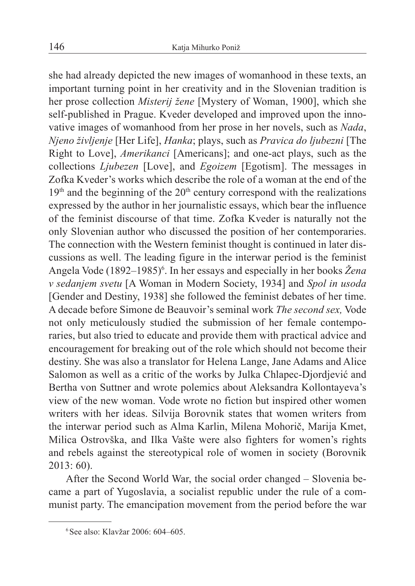she had already depicted the new images of womanhood in these texts, an important turning point in her creativity and in the Slovenian tradition is her prose collection *Misterij žene* [Mystery of Woman, 1900], which she self-published in Prague. Kveder developed and improved upon the innovative images of womanhood from her prose in her novels, such as *Nada*, *Njeno življenje* [Her Life], *Hanka*; plays, such as *Pravica do ljubezni* [The Right to Love], *Amerikanci* [Americans]; and one-act plays, such as the collections *Ljubezen* [Love], and *Egoizem* [Egotism]. The messages in Zofka Kveder's works which describe the role of a woman at the end of the  $19<sup>th</sup>$  and the beginning of the  $20<sup>th</sup>$  century correspond with the realizations expressed by the author in her journalistic essays, which bear the influence of the feminist discourse of that time. Zofka Kveder is naturally not the only Slovenian author who discussed the position of her contemporaries. The connection with the Western feminist thought is continued in later discussions as well. The leading figure in the interwar period is the feminist Angela Vode (1892–1985)<sup>6</sup>. In her essays and especially in her books *Žena v sedanjem svetu* [A Woman in Modern Society, 1934] and *Spol in usoda*  [Gender and Destiny, 1938] she followed the feminist debates of her time. A decade before Simone de Beauvoir's seminal work *The second sex,* Vode not only meticulously studied the submission of her female contemporaries, but also tried to educate and provide them with practical advice and encouragement for breaking out of the role which should not become their destiny. She was also a translator for Helena Lange, Jane Adams and Alice Salomon as well as a critic of the works by Julka Chlapec-Djordjević and Bertha von Suttner and wrote polemics about Aleksandra Kollontayeva's view of the new woman. Vode wrote no fiction but inspired other women writers with her ideas. Silvija Borovnik states that women writers from the interwar period such as Alma Karlin, Milena Mohorič, Marija Kmet, Milica Ostrovška, and Ilka Vašte were also fighters for women's rights and rebels against the stereotypical role of women in society (Borovnik 2013: 60).

After the Second World War, the social order changed – Slovenia became a part of Yugoslavia, a socialist republic under the rule of a communist party. The emancipation movement from the period before the war

<sup>6</sup>See also: Klavžar 2006: 604–605.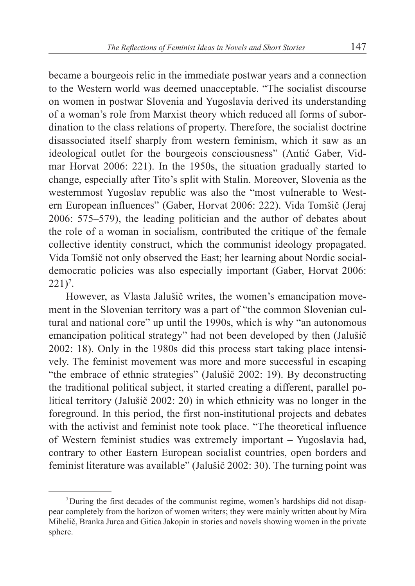became a bourgeois relic in the immediate postwar years and a connection to the Western world was deemed unacceptable. "The socialist discourse on women in postwar Slovenia and Yugoslavia derived its understanding of a woman's role from Marxist theory which reduced all forms of subordination to the class relations of property. Therefore, the socialist doctrine disassociated itself sharply from western feminism, which it saw as an ideological outlet for the bourgeois consciousness" (Antić Gaber, Vidmar Horvat 2006: 221). In the 1950s, the situation gradually started to change, especially after Tito's split with Stalin. Moreover, Slovenia as the westernmost Yugoslav republic was also the "most vulnerable to Western European influences" (Gaber, Horvat 2006: 222). Vida Tomšič (Jeraj 2006: 575–579), the leading politician and the author of debates about the role of a woman in socialism, contributed the critique of the female collective identity construct, which the communist ideology propagated. Vida Tomšič not only observed the East; her learning about Nordic socialdemocratic policies was also especially important (Gaber, Horvat 2006:  $221$ <sup>7</sup>.

However, as Vlasta Jalušič writes, the women's emancipation movement in the Slovenian territory was a part of "the common Slovenian cultural and national core" up until the 1990s, which is why "an autonomous emancipation political strategy" had not been developed by then (Jalušič 2002: 18). Only in the 1980s did this process start taking place intensively. The feminist movement was more and more successful in escaping "the embrace of ethnic strategies" (Jalušič 2002: 19). By deconstructing the traditional political subject, it started creating a different, parallel political territory (Jalušič 2002: 20) in which ethnicity was no longer in the foreground. In this period, the first non-institutional projects and debates with the activist and feminist note took place. "The theoretical influence of Western feminist studies was extremely important – Yugoslavia had, contrary to other Eastern European socialist countries, open borders and feminist literature was available" (Jalušič 2002: 30). The turning point was

<sup>7</sup>During the first decades of the communist regime, women's hardships did not disappear completely from the horizon of women writers; they were mainly written about by Mira Mihelič, Branka Jurca and Gitica Jakopin in stories and novels showing women in the private sphere.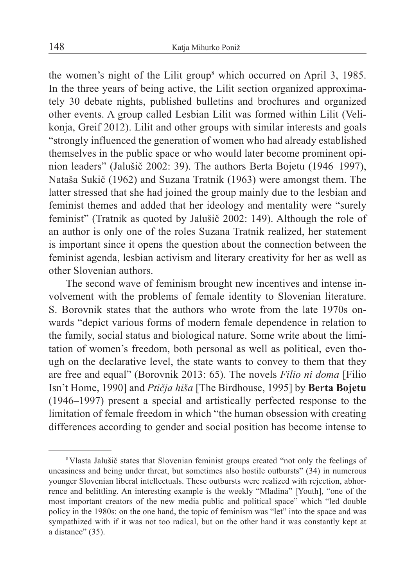the women's night of the Lilit group<sup>8</sup> which occurred on April 3, 1985. In the three years of being active, the Lilit section organized approximately 30 debate nights, published bulletins and brochures and organized other events. A group called Lesbian Lilit was formed within Lilit (Velikonja, Greif 2012). Lilit and other groups with similar interests and goals "strongly influenced the generation of women who had already established themselves in the public space or who would later become prominent opinion leaders" (Jalušič 2002: 39). The authors Berta Bojetu (1946–1997), Nataša Sukič (1962) and Suzana Tratnik (1963) were amongst them. The latter stressed that she had joined the group mainly due to the lesbian and feminist themes and added that her ideology and mentality were "surely feminist" (Tratnik as quoted by Jalušič 2002: 149). Although the role of an author is only one of the roles Suzana Tratnik realized, her statement is important since it opens the question about the connection between the feminist agenda, lesbian activism and literary creativity for her as well as other Slovenian authors.

The second wave of feminism brought new incentives and intense involvement with the problems of female identity to Slovenian literature. S. Borovnik states that the authors who wrote from the late 1970s onwards "depict various forms of modern female dependence in relation to the family, social status and biological nature. Some write about the limitation of women's freedom, both personal as well as political, even though on the declarative level, the state wants to convey to them that they are free and equal" (Borovnik 2013: 65). The novels *Filio ni doma* [Filio Isn't Home, 1990] and *Ptičja hiša* [The Birdhouse, 1995] by **Berta Bojetu** (1946–1997) present a special and artistically perfected response to the limitation of female freedom in which "the human obsession with creating differences according to gender and social position has become intense to

<sup>8</sup>Vlasta Jalušič states that Slovenian feminist groups created "not only the feelings of uneasiness and being under threat, but sometimes also hostile outbursts" (34) in numerous younger Slovenian liberal intellectuals. These outbursts were realized with rejection, abhorrence and belittling. An interesting example is the weekly "Mladina" [Youth], "one of the most important creators of the new media public and political space" which "led double policy in the 1980s: on the one hand, the topic of feminism was "let" into the space and was sympathized with if it was not too radical, but on the other hand it was constantly kept at a distance" (35).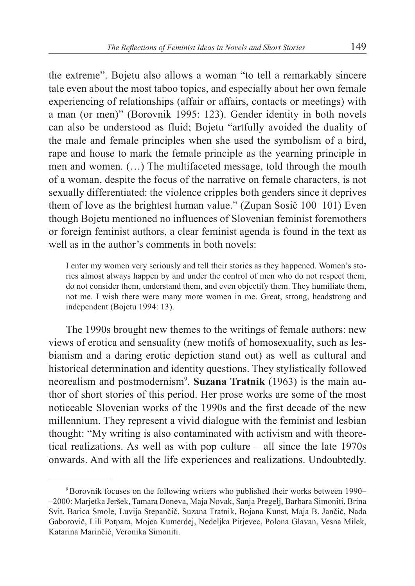the extreme". Bojetu also allows a woman "to tell a remarkably sincere tale even about the most taboo topics, and especially about her own female experiencing of relationships (affair or affairs, contacts or meetings) with a man (or men)" (Borovnik 1995: 123). Gender identity in both novels can also be understood as fluid; Bojetu "artfully avoided the duality of the male and female principles when she used the symbolism of a bird, rape and house to mark the female principle as the yearning principle in men and women. (…) The multifaceted message, told through the mouth of a woman, despite the focus of the narrative on female characters, is not sexually differentiated: the violence cripples both genders since it deprives them of love as the brightest human value." (Zupan Sosič 100–101) Even though Bojetu mentioned no influences of Slovenian feminist foremothers or foreign feminist authors, a clear feminist agenda is found in the text as well as in the author's comments in both novels:

I enter my women very seriously and tell their stories as they happened. Women's stories almost always happen by and under the control of men who do not respect them, do not consider them, understand them, and even objectify them. They humiliate them, not me. I wish there were many more women in me. Great, strong, headstrong and independent (Bojetu 1994: 13).

The 1990s brought new themes to the writings of female authors: new views of erotica and sensuality (new motifs of homosexuality, such as lesbianism and a daring erotic depiction stand out) as well as cultural and historical determination and identity questions. They stylistically followed neorealism and postmodernism<sup>9</sup>. Suzana Tratnik (1963) is the main author of short stories of this period. Her prose works are some of the most noticeable Slovenian works of the 1990s and the first decade of the new millennium. They represent a vivid dialogue with the feminist and lesbian thought: "My writing is also contaminated with activism and with theoretical realizations. As well as with pop culture – all since the late 1970s onwards. And with all the life experiences and realizations. Undoubtedly.

<sup>9</sup>Borovnik focuses on the following writers who published their works between 1990– –2000: Marjetka Jeršek, Tamara Doneva, Maja Novak, Sanja Pregelj, Barbara Simoniti, Brina Svit, Barica Smole, Luvija Stepančič, Suzana Tratnik, Bojana Kunst, Maja B. Jančič, Nada Gaborovič, Lili Potpara, Mojca Kumerdej, Nedeljka Pirjevec, Polona Glavan, Vesna Milek, Katarina Marinčič, Veronika Simoniti.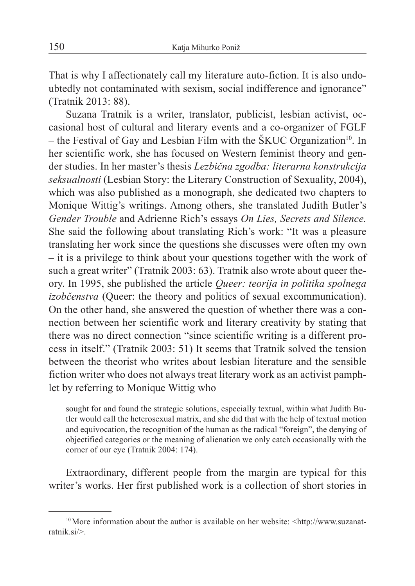That is why I affectionately call my literature auto-fiction. It is also undoubtedly not contaminated with sexism, social indifference and ignorance" (Tratnik 2013: 88).

Suzana Tratnik is a writer, translator, publicist, lesbian activist, occasional host of cultural and literary events and a co-organizer of FGLF  $-$  the Festival of Gay and Lesbian Film with the  $SKUC$  Organization<sup>10</sup>. In her scientific work, she has focused on Western feminist theory and gender studies. In her master's thesis *Lezbična zgodba: literarna konstrukcija seksualnosti* (Lesbian Story: the Literary Construction of Sexuality, 2004), which was also published as a monograph, she dedicated two chapters to Monique Wittig's writings. Among others, she translated Judith Butler's *Gender Trouble* and Adrienne Rich's essays *On Lies, Secrets and Silence.* She said the following about translating Rich's work: "It was a pleasure translating her work since the questions she discusses were often my own – it is a privilege to think about your questions together with the work of such a great writer" (Tratnik 2003: 63). Tratnik also wrote about queer theory. In 1995, she published the article *Queer: teorija in politika spolnega izobčenstva* (Queer: the theory and politics of sexual excommunication). On the other hand, she answered the question of whether there was a connection between her scientific work and literary creativity by stating that there was no direct connection "since scientific writing is a different process in itself." (Tratnik 2003: 51) It seems that Tratnik solved the tension between the theorist who writes about lesbian literature and the sensible fiction writer who does not always treat literary work as an activist pamphlet by referring to Monique Wittig who

sought for and found the strategic solutions, especially textual, within what Judith Butler would call the heterosexual matrix, and she did that with the help of textual motion and equivocation, the recognition of the human as the radical "foreign", the denying of objectified categories or the meaning of alienation we only catch occasionally with the corner of our eye (Tratnik 2004: 174).

Extraordinary, different people from the margin are typical for this writer's works. Her first published work is a collection of short stories in

 $10$ More information about the author is available on her website:  $\text{http://www.suzanat-}$ ratnik.si/>.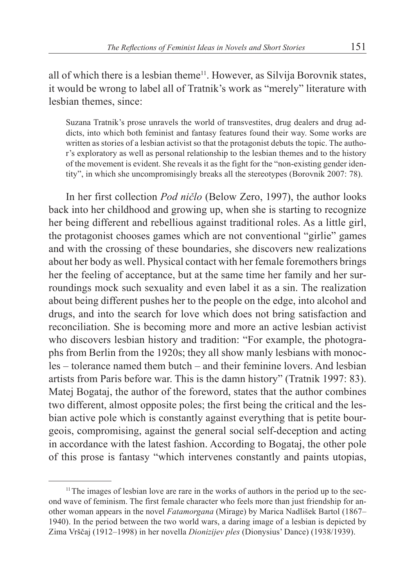all of which there is a lesbian theme<sup>11</sup>. However, as Silvija Borovnik states, it would be wrong to label all of Tratnik's work as "merely" literature with lesbian themes, since:

Suzana Tratnik's prose unravels the world of transvestites, drug dealers and drug addicts, into which both feminist and fantasy features found their way. Some works are written as stories of a lesbian activist so that the protagonist debuts the topic. The author's exploratory as well as personal relationship to the lesbian themes and to the history of the movement is evident. She reveals it as the fight for the "non-existing gender identity", in which she uncompromisingly breaks all the stereotypes (Borovnik 2007: 78).

In her first collection *Pod ničlo* (Below Zero, 1997), the author looks back into her childhood and growing up, when she is starting to recognize her being different and rebellious against traditional roles. As a little girl, the protagonist chooses games which are not conventional "girlie" games and with the crossing of these boundaries, she discovers new realizations about her body as well. Physical contact with her female foremothers brings her the feeling of acceptance, but at the same time her family and her surroundings mock such sexuality and even label it as a sin. The realization about being different pushes her to the people on the edge, into alcohol and drugs, and into the search for love which does not bring satisfaction and reconciliation. She is becoming more and more an active lesbian activist who discovers lesbian history and tradition: "For example, the photographs from Berlin from the 1920s; they all show manly lesbians with monocles – tolerance named them butch – and their feminine lovers. And lesbian artists from Paris before war. This is the damn history" (Tratnik 1997: 83). Matej Bogataj, the author of the foreword, states that the author combines two different, almost opposite poles; the first being the critical and the lesbian active pole which is constantly against everything that is petite bourgeois, compromising, against the general social self-deception and acting in accordance with the latest fashion. According to Bogataj, the other pole of this prose is fantasy "which intervenes constantly and paints utopias,

<sup>&</sup>lt;sup>11</sup>The images of lesbian love are rare in the works of authors in the period up to the second wave of feminism. The first female character who feels more than just friendship for another woman appears in the novel *Fatamorgana* (Mirage) by Marica Nadlišek Bartol (1867– 1940). In the period between the two world wars, a daring image of a lesbian is depicted by Zima Vrščaj (1912–1998) in her novella *Dionizijev ples* (Dionysius' Dance) (1938/1939).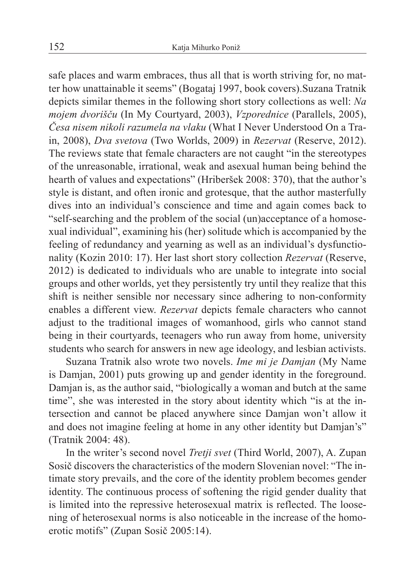safe places and warm embraces, thus all that is worth striving for, no matter how unattainable it seems" (Bogataj 1997, book covers).Suzana Tratnik depicts similar themes in the following short story collections as well: *Na mojem dvorišču* (In My Courtyard, 2003), *Vzporednice* (Parallels, 2005), *Česa nisem nikoli razumela na vlaku* (What I Never Understood On a Train, 2008), *Dva svetova* (Two Worlds, 2009) in *Rezervat* (Reserve, 2012). The reviews state that female characters are not caught "in the stereotypes of the unreasonable, irrational, weak and asexual human being behind the hearth of values and expectations" (Hriberšek 2008: 370), that the author's style is distant, and often ironic and grotesque, that the author masterfully dives into an individual's conscience and time and again comes back to "self-searching and the problem of the social (un)acceptance of a homosexual individual", examining his (her) solitude which is accompanied by the feeling of redundancy and yearning as well as an individual's dysfunctionality (Kozin 2010: 17). Her last short story collection *Rezervat* (Reserve, 2012) is dedicated to individuals who are unable to integrate into social groups and other worlds, yet they persistently try until they realize that this shift is neither sensible nor necessary since adhering to non-conformity enables a different view. *Rezervat* depicts female characters who cannot adjust to the traditional images of womanhood, girls who cannot stand being in their courtyards, teenagers who run away from home, university students who search for answers in new age ideology, and lesbian activists.

Suzana Tratnik also wrote two novels. *Ime mi je Damjan* (My Name is Damjan, 2001) puts growing up and gender identity in the foreground. Damjan is, as the author said, "biologically a woman and butch at the same time", she was interested in the story about identity which "is at the intersection and cannot be placed anywhere since Damjan won't allow it and does not imagine feeling at home in any other identity but Damjan's" (Tratnik 2004: 48).

In the writer's second novel *Tretji svet* (Third World, 2007), A. Zupan Sosič discovers the characteristics of the modern Slovenian novel: "The intimate story prevails, and the core of the identity problem becomes gender identity. The continuous process of softening the rigid gender duality that is limited into the repressive heterosexual matrix is reflected. The loosening of heterosexual norms is also noticeable in the increase of the homoerotic motifs" (Zupan Sosič 2005:14).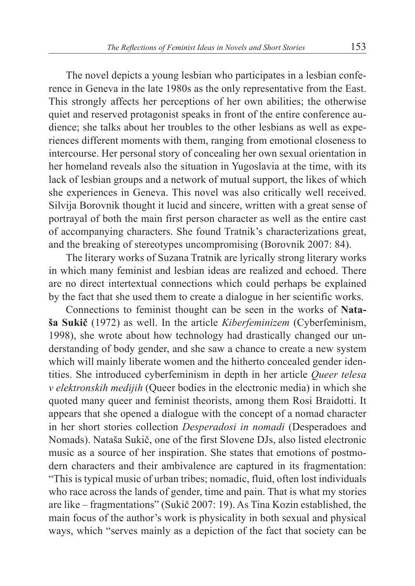The novel depicts a young lesbian who participates in a lesbian conference in Geneva in the late 1980s as the only representative from the East. This strongly affects her perceptions of her own abilities; the otherwise quiet and reserved protagonist speaks in front of the entire conference audience; she talks about her troubles to the other lesbians as well as experiences different moments with them, ranging from emotional closeness to intercourse. Her personal story of concealing her own sexual orientation in her homeland reveals also the situation in Yugoslavia at the time, with its lack of lesbian groups and a network of mutual support, the likes of which she experiences in Geneva. This novel was also critically well received. Silvija Borovnik thought it lucid and sincere, written with a great sense of portrayal of both the main first person character as well as the entire cast of accompanying characters. She found Tratnik's characterizations great, and the breaking of stereotypes uncompromising (Borovnik 2007: 84).

The literary works of Suzana Tratnik are lyrically strong literary works in which many feminist and lesbian ideas are realized and echoed. There are no direct intertextual connections which could perhaps be explained by the fact that she used them to create a dialogue in her scientific works.

Connections to feminist thought can be seen in the works of **Nataša Sukič** (1972) as well. In the article *Kiberfeminizem* (Cyberfeminism, 1998), she wrote about how technology had drastically changed our understanding of body gender, and she saw a chance to create a new system which will mainly liberate women and the hitherto concealed gender identities. She introduced cyberfeminism in depth in her article *Queer telesa v elektronskih medijih* (Queer bodies in the electronic media) in which she quoted many queer and feminist theorists, among them Rosi Braidotti. It appears that she opened a dialogue with the concept of a nomad character in her short stories collection *Desperadosi in nomadi* (Desperadoes and Nomads). Nataša Sukič, one of the first Slovene DJs, also listed electronic music as a source of her inspiration. She states that emotions of postmodern characters and their ambivalence are captured in its fragmentation: "This is typical music of urban tribes; nomadic, fluid, often lost individuals who race across the lands of gender, time and pain. That is what my stories are like – fragmentations" (Sukič 2007: 19). As Tina Kozin established, the main focus of the author's work is physicality in both sexual and physical ways, which "serves mainly as a depiction of the fact that society can be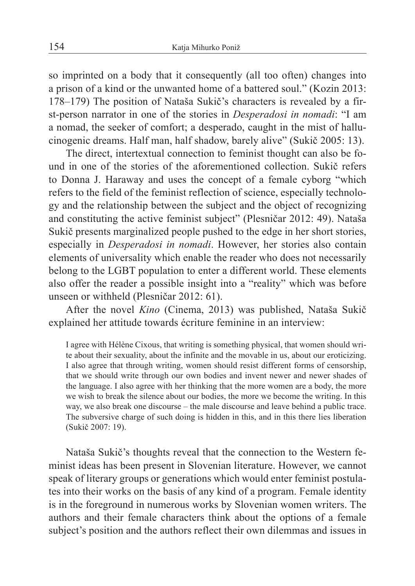so imprinted on a body that it consequently (all too often) changes into a prison of a kind or the unwanted home of a battered soul." (Kozin 2013: 178–179) The position of Nataša Sukič's characters is revealed by a first-person narrator in one of the stories in *Desperadosi in nomadi*: "I am a nomad, the seeker of comfort; a desperado, caught in the mist of hallucinogenic dreams. Half man, half shadow, barely alive" (Sukič 2005: 13).

The direct, intertextual connection to feminist thought can also be found in one of the stories of the aforementioned collection. Sukič refers to Donna J. Haraway and uses the concept of a female cyborg "which refers to the field of the feminist reflection of science, especially technology and the relationship between the subject and the object of recognizing and constituting the active feminist subject" (Plesničar 2012: 49). Nataša Sukič presents marginalized people pushed to the edge in her short stories, especially in *Desperadosi in nomadi*. However, her stories also contain elements of universality which enable the reader who does not necessarily belong to the LGBT population to enter a different world. These elements also offer the reader a possible insight into a "reality" which was before unseen or withheld (Plesničar 2012: 61).

After the novel *Kino* (Cinema, 2013) was published, Nataša Sukič explained her attitude towards écriture feminine in an interview:

I agree with Hélène Cixous, that writing is something physical, that women should write about their sexuality, about the infinite and the movable in us, about our eroticizing. I also agree that through writing, women should resist different forms of censorship, that we should write through our own bodies and invent newer and newer shades of the language. I also agree with her thinking that the more women are a body, the more we wish to break the silence about our bodies, the more we become the writing. In this way, we also break one discourse – the male discourse and leave behind a public trace. The subversive charge of such doing is hidden in this, and in this there lies liberation (Sukič 2007: 19).

Nataša Sukič's thoughts reveal that the connection to the Western feminist ideas has been present in Slovenian literature. However, we cannot speak of literary groups or generations which would enter feminist postulates into their works on the basis of any kind of a program. Female identity is in the foreground in numerous works by Slovenian women writers. The authors and their female characters think about the options of a female subject's position and the authors reflect their own dilemmas and issues in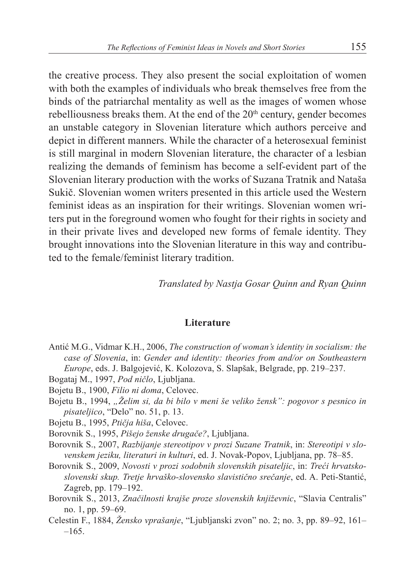the creative process. They also present the social exploitation of women with both the examples of individuals who break themselves free from the binds of the patriarchal mentality as well as the images of women whose rebelliousness breaks them. At the end of the  $20<sup>th</sup>$  century, gender becomes an unstable category in Slovenian literature which authors perceive and depict in different manners. While the character of a heterosexual feminist is still marginal in modern Slovenian literature, the character of a lesbian realizing the demands of feminism has become a self-evident part of the Slovenian literary production with the works of Suzana Tratnik and Nataša Sukič. Slovenian women writers presented in this article used the Western feminist ideas as an inspiration for their writings. Slovenian women writers put in the foreground women who fought for their rights in society and in their private lives and developed new forms of female identity. They brought innovations into the Slovenian literature in this way and contributed to the female/feminist literary tradition.

*Translated by Nastja Gosar Quinn and Ryan Quinn*

## **Literature**

- Antić M.G., Vidmar K.H., 2006, *The construction of woman's identity in socialism: the case of Slovenia*, in: *Gender and identity: theories from and/or on Southeastern Europe*, eds. J. Balgojević, K. Kolozova, S. Slapšak, Belgrade, pp. 219–237.
- Bogataj M., 1997, *Pod ničlo*, Ljubljana.
- Bojetu B., 1900, *Filio ni doma*, Celovec.
- Bojetu B., 1994, "Želim si, da bi bilo v meni še veliko žensk": pogovor s pesnico in *pisateljico*, "Delo" no. 51, p. 13.
- Bojetu B., 1995, *Ptičja hiša*, Celovec.
- Borovnik S., 1995, *Pišejo ženske drugače?*, Ljubljana.
- Borovnik S., 2007, *Razbijanje stereotipov v prozi Suzane Tratnik*, in: *Stereotipi v slovenskem jeziku, literaturi in kulturi*, ed. J. Novak-Popov, Ljubljana, pp. 78–85.
- Borovnik S., 2009, *Novosti v prozi sodobnih slovenskih pisateljic*, in: *Treći hrvatskoslovenski skup. Tretje hrvaško-slovensko slavistično srečanje*, ed. A. Peti-Stantić, Zagreb, pp. 179–192.
- Borovnik S., 2013, *Značilnosti krajše proze slovenskih književnic*, "Slavia Centralis" no. 1, pp. 59–69.
- Celestin F., 1884, *Žensko vprašanje*, "Ljubljanski zvon" no. 2; no. 3, pp. 89–92, 161–  $-165.$